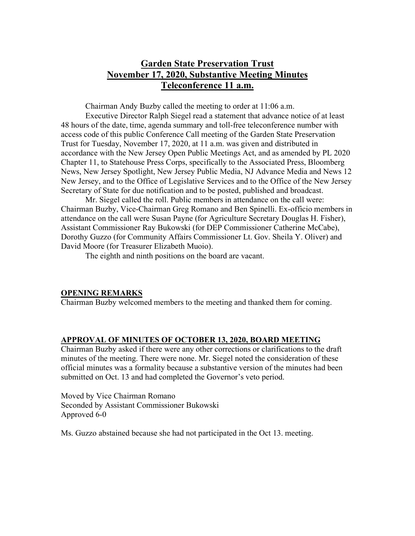# **Garden State Preservation Trust November 17, 2020, Substantive Meeting Minutes Teleconference 11 a.m.**

Chairman Andy Buzby called the meeting to order at 11:06 a.m.

Executive Director Ralph Siegel read a statement that advance notice of at least 48 hours of the date, time, agenda summary and toll-free teleconference number with access code of this public Conference Call meeting of the Garden State Preservation Trust for Tuesday, November 17, 2020, at 11 a.m. was given and distributed in accordance with the New Jersey Open Public Meetings Act, and as amended by PL 2020 Chapter 11, to Statehouse Press Corps, specifically to the Associated Press, Bloomberg News, New Jersey Spotlight, New Jersey Public Media, NJ Advance Media and News 12 New Jersey, and to the Office of Legislative Services and to the Office of the New Jersey Secretary of State for due notification and to be posted, published and broadcast.

Mr. Siegel called the roll. Public members in attendance on the call were: Chairman Buzby, Vice-Chairman Greg Romano and Ben Spinelli. Ex-officio members in attendance on the call were Susan Payne (for Agriculture Secretary Douglas H. Fisher), Assistant Commissioner Ray Bukowski (for DEP Commissioner Catherine McCabe), Dorothy Guzzo (for Community Affairs Commissioner Lt. Gov. Sheila Y. Oliver) and David Moore (for Treasurer Elizabeth Muoio).

The eighth and ninth positions on the board are vacant.

#### **OPENING REMARKS**

Chairman Buzby welcomed members to the meeting and thanked them for coming.

### **APPROVAL OF MINUTES OF OCTOBER 13, 2020, BOARD MEETING**

Chairman Buzby asked if there were any other corrections or clarifications to the draft minutes of the meeting. There were none. Mr. Siegel noted the consideration of these official minutes was a formality because a substantive version of the minutes had been submitted on Oct. 13 and had completed the Governor's veto period.

Moved by Vice Chairman Romano Seconded by Assistant Commissioner Bukowski Approved 6-0

Ms. Guzzo abstained because she had not participated in the Oct 13. meeting.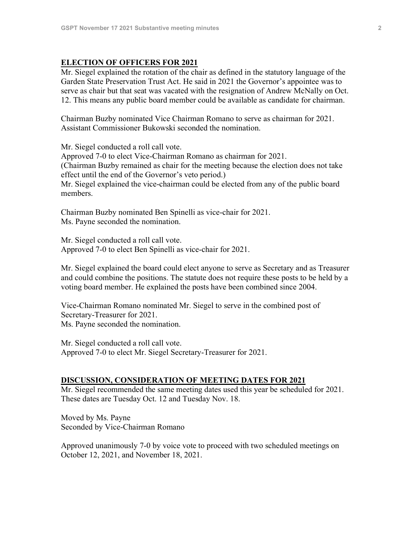### **ELECTION OF OFFICERS FOR 2021**

Mr. Siegel explained the rotation of the chair as defined in the statutory language of the Garden State Preservation Trust Act. He said in 2021 the Governor's appointee was to serve as chair but that seat was vacated with the resignation of Andrew McNally on Oct. 12. This means any public board member could be available as candidate for chairman.

Chairman Buzby nominated Vice Chairman Romano to serve as chairman for 2021. Assistant Commissioner Bukowski seconded the nomination.

Mr. Siegel conducted a roll call vote. Approved 7-0 to elect Vice-Chairman Romano as chairman for 2021. (Chairman Buzby remained as chair for the meeting because the election does not take effect until the end of the Governor's veto period.) Mr. Siegel explained the vice-chairman could be elected from any of the public board members.

Chairman Buzby nominated Ben Spinelli as vice-chair for 2021. Ms. Payne seconded the nomination.

Mr. Siegel conducted a roll call vote. Approved 7-0 to elect Ben Spinelli as vice-chair for 2021.

Mr. Siegel explained the board could elect anyone to serve as Secretary and as Treasurer and could combine the positions. The statute does not require these posts to be held by a voting board member. He explained the posts have been combined since 2004.

Vice-Chairman Romano nominated Mr. Siegel to serve in the combined post of Secretary-Treasurer for 2021. Ms. Payne seconded the nomination.

Mr. Siegel conducted a roll call vote. Approved 7-0 to elect Mr. Siegel Secretary-Treasurer for 2021.

#### **DISCUSSION, CONSIDERATION OF MEETING DATES FOR 2021**

Mr. Siegel recommended the same meeting dates used this year be scheduled for 2021. These dates are Tuesday Oct. 12 and Tuesday Nov. 18.

Moved by Ms. Payne Seconded by Vice-Chairman Romano

Approved unanimously 7-0 by voice vote to proceed with two scheduled meetings on October 12, 2021, and November 18, 2021.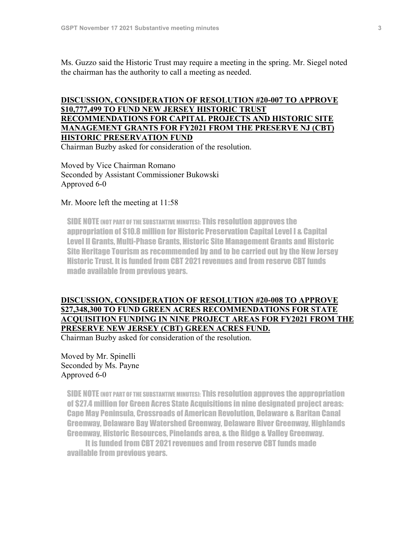Ms. Guzzo said the Historic Trust may require a meeting in the spring. Mr. Siegel noted the chairman has the authority to call a meeting as needed.

## **DISCUSSION, CONSIDERATION OF RESOLUTION #20-007 TO APPROVE \$10,777,499 TO FUND NEW JERSEY HISTORIC TRUST RECOMMENDATIONS FOR CAPITAL PROJECTS AND HISTORIC SITE MANAGEMENT GRANTS FOR FY2021 FROM THE PRESERVE NJ (CBT) HISTORIC PRESERVATION FUND**

Chairman Buzby asked for consideration of the resolution.

Moved by Vice Chairman Romano Seconded by Assistant Commissioner Bukowski Approved 6-0

#### Mr. Moore left the meeting at 11:58

SIDE NOTE (NOT PART OF THE SUBSTANTIVE MINUTES): This resolution approves the appropriation of \$10.8 million for Historic Preservation Capital Level I & Capital Level II Grants, Multi-Phase Grants, Historic Site Management Grants and Historic Site Heritage Tourism as recommended by and to be carried out by the New Jersey Historic Trust. It is funded from CBT 2021revenues and from reserve CBT funds made available from previous years.

## **DISCUSSION, CONSIDERATION OF RESOLUTION #20-008 TO APPROVE \$27,348,300 TO FUND GREEN ACRES RECOMMENDATIONS FOR STATE ACQUISITION FUNDING IN NINE PROJECT AREAS FOR FY2021 FROM THE PRESERVE NEW JERSEY (CBT) GREEN ACRES FUND.**

Chairman Buzby asked for consideration of the resolution.

Moved by Mr. Spinelli Seconded by Ms. Payne Approved 6-0

SIDE NOTE (NOT PART OF THE SUBSTANTIVE MINUTES): This resolution approves the appropriation of \$27.4 million for Green Acres State Acquisitions in nine designated project areas: Cape May Peninsula, Crossroads of American Revolution, Delaware & Raritan Canal Greenway, Delaware Bay Watershed Greenway, Delaware River Greenway, Highlands Greenway, Historic Resources, Pinelands area, & the Ridge & Valley Greenway.

It is funded from CBT 2021revenues and from reserve CBT funds made available from previous years.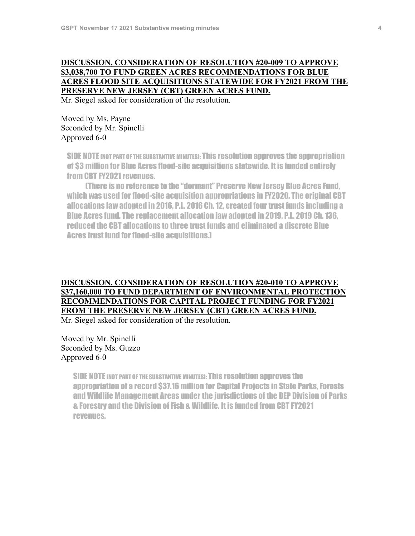## **DISCUSSION, CONSIDERATION OF RESOLUTION #20-009 TO APPROVE \$3,038,700 TO FUND GREEN ACRES RECOMMENDATIONS FOR BLUE ACRES FLOOD SITE ACQUISITIONS STATEWIDE FOR FY2021 FROM THE PRESERVE NEW JERSEY (CBT) GREEN ACRES FUND.**

Mr. Siegel asked for consideration of the resolution.

Moved by Ms. Payne Seconded by Mr. Spinelli Approved 6-0

SIDE NOTE (NOT PART OF THE SUBSTANTIVE MINUTES): This resolution approves the appropriation of \$3 million for Blue Acres flood-site acquisitions statewide. It is funded entirely from CBT FY2021 revenues.

(There is no reference to the "dormant" Preserve New Jersey Blue Acres Fund, which was used for flood-site acquisition appropriations in FY2020. The original CBT allocations lawadopted in 2016, P.L. 2016 Ch. 12, created four trust funds including a Blue Acres fund. The replacement allocation lawadopted in 2019, P.L. 2019 Ch. 136, reduced the CBT allocations to three trust funds and eliminated a discrete Blue Acres trust fund for flood-site acquisitions.)

## **DISCUSSION, CONSIDERATION OF RESOLUTION #20-010 TO APPROVE \$37,160,000 TO FUND DEPARTMENT OF ENVIRONMENTAL PROTECTION RECOMMENDATIONS FOR CAPITAL PROJECT FUNDING FOR FY2021 FROM THE PRESERVE NEW JERSEY (CBT) GREEN ACRES FUND.**

Mr. Siegel asked for consideration of the resolution.

Moved by Mr. Spinelli Seconded by Ms. Guzzo Approved 6-0

> SIDE NOTE (NOT PART OF THE SUBSTANTIVE MINUTES): This resolution approves the appropriation of a record \$37.16 million for Capital Projects in State Parks, Forests and Wildlife Management Areas under the jurisdictions of the DEP Division of Parks & Forestry and the Division of Fish & Wildlife. It is funded from CBT FY2021 revenues.